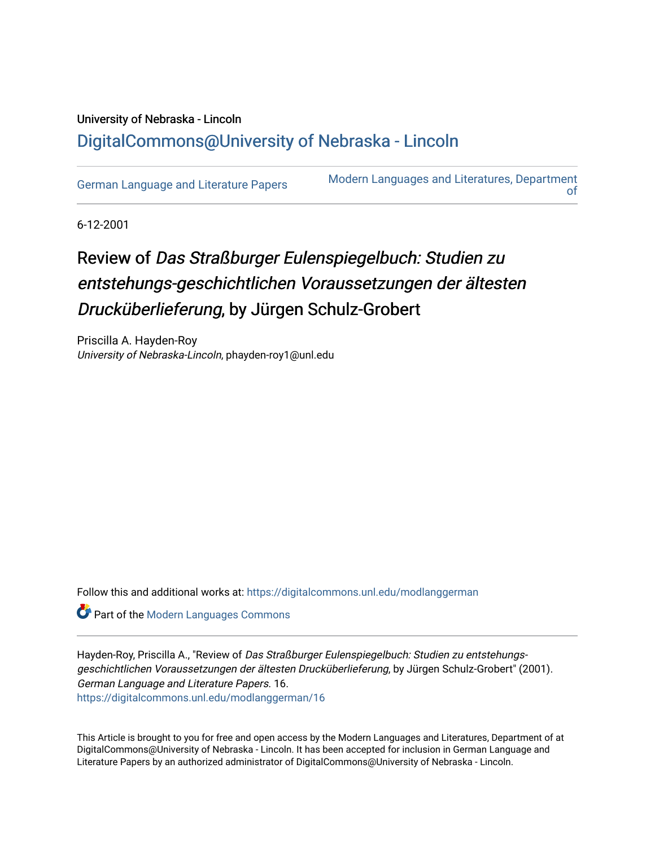## University of Nebraska - Lincoln [DigitalCommons@University of Nebraska - Lincoln](https://digitalcommons.unl.edu/)

[German Language and Literature Papers](https://digitalcommons.unl.edu/modlanggerman) Modern Languages and Literatures, Department [of](https://digitalcommons.unl.edu/modernlanguages) 

6-12-2001

## Review of Das Straßburger Eulenspiegelbuch: Studien zu entstehungs-geschichtlichen Voraussetzungen der ältesten Drucküberlieferung, by Jürgen Schulz-Grobert

Priscilla A. Hayden-Roy University of Nebraska-Lincoln, phayden-roy1@unl.edu

Follow this and additional works at: [https://digitalcommons.unl.edu/modlanggerman](https://digitalcommons.unl.edu/modlanggerman?utm_source=digitalcommons.unl.edu%2Fmodlanggerman%2F16&utm_medium=PDF&utm_campaign=PDFCoverPages) 

**Part of the Modern Languages Commons** 

Hayden-Roy, Priscilla A., "Review of Das Straßburger Eulenspiegelbuch: Studien zu entstehungsgeschichtlichen Voraussetzungen der ältesten Drucküberlieferung, by Jürgen Schulz-Grobert" (2001). German Language and Literature Papers. 16. [https://digitalcommons.unl.edu/modlanggerman/16](https://digitalcommons.unl.edu/modlanggerman/16?utm_source=digitalcommons.unl.edu%2Fmodlanggerman%2F16&utm_medium=PDF&utm_campaign=PDFCoverPages)

This Article is brought to you for free and open access by the Modern Languages and Literatures, Department of at DigitalCommons@University of Nebraska - Lincoln. It has been accepted for inclusion in German Language and Literature Papers by an authorized administrator of DigitalCommons@University of Nebraska - Lincoln.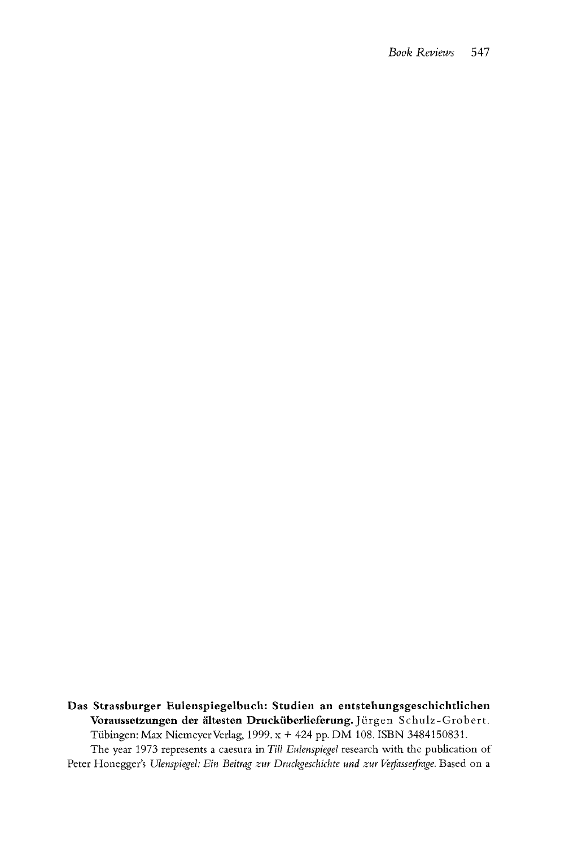**Das Strassburger Eulenspiegelbuch: Studien an entstehungsgeschichtlichen**  Voraussetzungen der ältesten Drucküberlieferung. Jürgen Schulz-Grobert. Tubingen: Max NiemeyerVerlag, 1999. x + 424 pp. DM 108. ISBN 3484150831. The year 1973 represents a caesura in *Till Eulenspiegel* research with the publication of Peter Honegger's *Ulenspiegel: Ein Beitrag zur Druckgeschichte und zur Verfasserfrage*. Based on a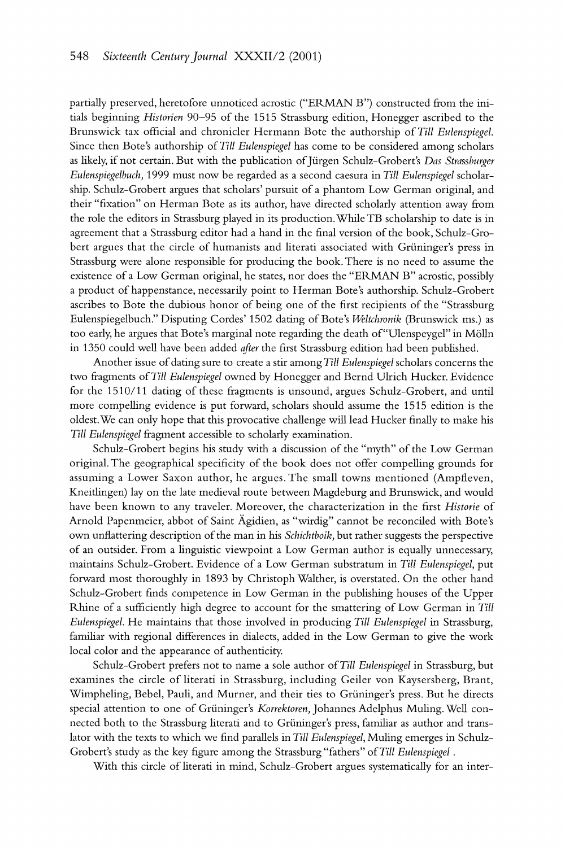*partially preserved, heretofore unnoticed acrostic ("ERMAN B") constructed from the initials beginning Histovien* 90-95 *of the* 1515 *Strassburg edition, Honegger ascribed to the Brunswick tax official and chronicler Hermann Bote the authorship of Till Eulenspicgcl.*  Since then Bote's authorship of Till Eulenspiegel has come to be considered among scholars as likely, if not certain. But with the publication of Jürgen Schulz-Grobert's Das Strassburger Eulenspiegelbuch, 1999 must now be regarded as a second caesura in Till Eulenspiegel scholar*ship. Schulz-Grobert argues that scholars' pursuit of a phantom Low German original, and their "fixation" on Herman Bote as its author, have directed scholarly attention away from the role the editors in Strassburg played in its production. While TB scholarship to date is in agreement that a Strassburg editor had a hand in the final version of the book, Schulz-Gro*bert argues that the circle of humanists and literati associated with Grüninger's press in *Strassburg were alone responsible for producing the book.There is no need to assume the existence of a Low German original, he states, nor does the "ERMAN B" acrostic, possibly a product of happenstance, necessarily point to Herman Bote's authorship. Schulz-Grobert ascribes to Bote the dubious honor of being one of the first recipients of the "Strassburg Eulenspiegelbuch." Disputing Cordes'* 1502 *dating of Bote's Weltclivonik (Brunswick ms.) as*  too early, he argues that Bote's marginal note regarding the death of "Ulenspeygel" in Mölln in 1350 could well have been added *after* the first Strassburg edition had been published.

Another issue of dating sure to create a stir among Till Eulenspiegel scholars concerns the two fragments of Till Eulenspiegel owned by Honegger and Bernd Ulrich Hucker. Evidence *for the* 1510/11 *dating of these fragments is unsound, argues Schulz-Grobert, and until more compelling evidence is put forward, scholars should assume the 1515 edition is the oldest.We can only hope that this provocative challenge* will *lead Hucker finally to make his Till Eulenspiegel fragment accessible to scholarly examination.* 

*Schulz-Grobert begins his study with a discussion of the "myth" of the Low German original. The geographical specificity of the book does not offer compelling grounds for assuming a Lower Saxon author, he argues. The small towns mentioned (Ampfleven, Kneitlingen) lay on the late medieval route between Magdeburg and Brunswick, and would*  have been known to any traveler. Moreover, the characterization in the first Historie of Arnold Papenmeier, abbot of Saint Ägidien, as "wirdig" cannot be reconciled with Bote's *own unflattering description of the man in hs Schichtboik, but rather suggests the perspective of an outsider. From a linguistic viewpoint* a *Low German author is equally unnecessary, maintains Schulz-Grobert. Evidence of a Low German substratum in Till Eulenspiegel, put forward most thoroughly in* 1893 *by Christoph Walther, is overstated. On the other hand Schulz-Grobert finds competence in Low German in the publishing houses of the Upper Rhine of a sufficiently high degree to account for the smattering of Low German in Till Eulenspiegel. He maintains that those involved in producing Till Eulenspiegel in Strassburg,* familiar with regional differences in dialects, added in the Low German to give the work *local color and the appearance of authenticity.* 

Schulz-Grobert prefers not to name a sole author of Till Eulenspiegel in Strassburg, but *examines the circle of literati in Strassburg, including Geiler von Kaysersberg, Brant, Wimpheling, Bebel, Pauli, and Murner, and their ties to Griininger's press. But he directs*  special attention to one of Grüninger's Korrektoren, Johannes Adelphus Muling. Well con*nected both to the Strassburg literati and to Gruninger's press, familiar as author and translator with the texts to which we find parallels in Till Eulenspiegel, Muling emerges in Schulz-*Grobert's study as the key figure among the Strassburg "fathers" of Till Eulenspiegel.

*With this circle of literati in mind, Schulz-Grobert argues systematically for an inter-*